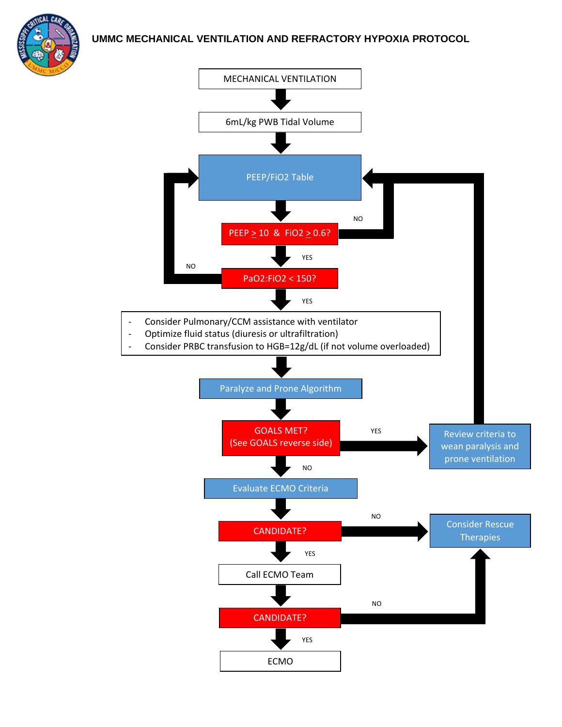**UMMC MECHANICAL VENTILATION AND REFRACTORY HYPOXIA PROTOCOL**